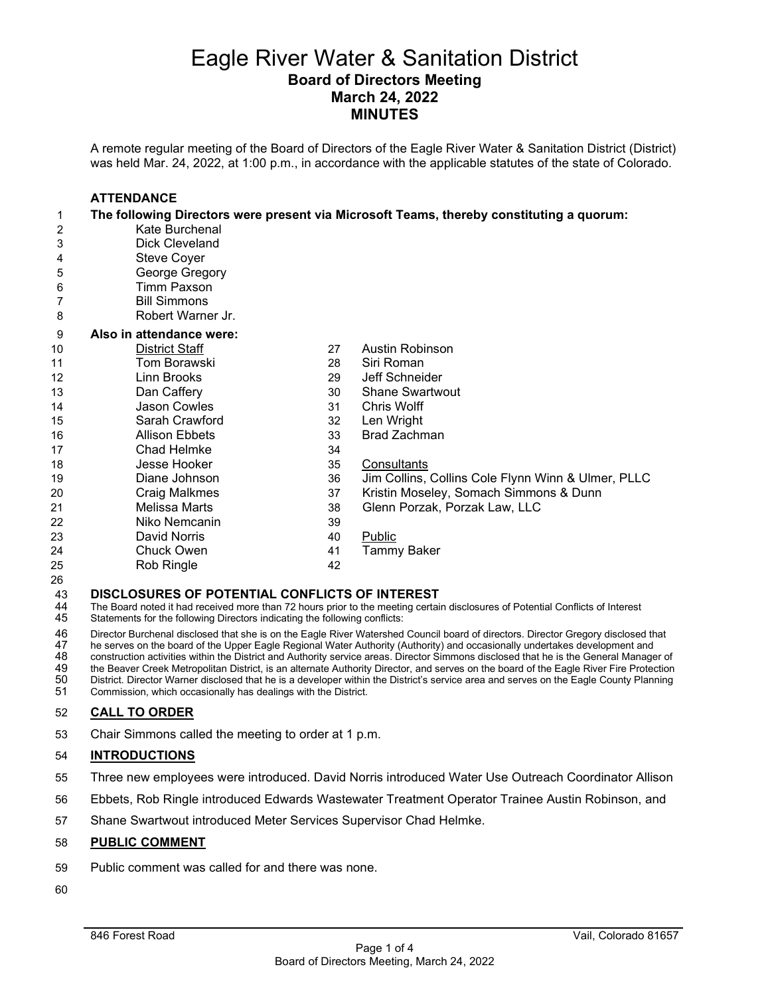# Eagle River Water & Sanitation District **Board of Directors Meeting March 24, 2022 MINUTES**

A remote regular meeting of the Board of Directors of the Eagle River Water & Sanitation District (District) was held Mar. 24, 2022, at 1:00 p.m., in accordance with the applicable statutes of the state of Colorado.

|    | <b>ATTENDANCE</b>        |    |                                                                                          |
|----|--------------------------|----|------------------------------------------------------------------------------------------|
| 1  |                          |    | The following Directors were present via Microsoft Teams, thereby constituting a quorum: |
| 2  | Kate Burchenal           |    |                                                                                          |
| 3  | <b>Dick Cleveland</b>    |    |                                                                                          |
| 4  | <b>Steve Coyer</b>       |    |                                                                                          |
| 5  | George Gregory           |    |                                                                                          |
| 6  | Timm Paxson              |    |                                                                                          |
| 7  | <b>Bill Simmons</b>      |    |                                                                                          |
| 8  | Robert Warner Jr.        |    |                                                                                          |
| 9  | Also in attendance were: |    |                                                                                          |
| 10 | District Staff           | 27 | Austin Robinson                                                                          |
| 11 | Tom Borawski             | 28 | Siri Roman                                                                               |
| 12 | Linn Brooks              | 29 | Jeff Schneider                                                                           |
| 13 | Dan Caffery              | 30 | <b>Shane Swartwout</b>                                                                   |
| 14 | Jason Cowles             | 31 | <b>Chris Wolff</b>                                                                       |
| 15 | Sarah Crawford           | 32 | Len Wright                                                                               |
| 16 | <b>Allison Ebbets</b>    | 33 | <b>Brad Zachman</b>                                                                      |
| 17 | Chad Helmke              | 34 |                                                                                          |
| 18 | Jesse Hooker             | 35 | Consultants                                                                              |
| 19 | Diane Johnson            | 36 | Jim Collins, Collins Cole Flynn Winn & Ulmer, PLLC                                       |
| 20 | <b>Craig Malkmes</b>     | 37 | Kristin Moseley, Somach Simmons & Dunn                                                   |
| 21 | Melissa Marts            | 38 | Glenn Porzak, Porzak Law, LLC                                                            |
| 22 | Niko Nemcanin            | 39 |                                                                                          |
| 23 | David Norris             | 40 | Public                                                                                   |
| 24 | <b>Chuck Owen</b>        | 41 | <b>Tammy Baker</b>                                                                       |
| 25 | Rob Ringle               | 42 |                                                                                          |

# 43 **DISCLOSURES OF POTENTIAL CONFLICTS OF INTEREST**<br>44 The Board noted it had received more than 72 hours prior to the meeting certai

44 The Board noted it had received more than 72 hours prior to the meeting certain disclosures of Potential Conflicts of Interest 45 Statements for the following Directors indicating the following conflicts: Statements for the following Directors indicating the following conflicts:

46 Director Burchenal disclosed that she is on the Eagle River Watershed Council board of directors. Director Gregory disclosed that<br>47 he serves on the board of the Upper Eagle Regional Water Authority (Authority) and occ

47 he serves on the board of the Upper Eagle Regional Water Authority (Authority) and occasionally undertakes development and<br>48 construction activities within the District and Authority service areas. Director Simmons dis

48 construction activities within the District and Authority service areas. Director Simmons disclosed that he is the General Manager of<br>49 the Beaver Creek Metropolitan District, is an alternate Authority Director, and se

49 the Beaver Creek Metropolitan District, is an alternate Authority Director, and serves on the board of the Eagle River Fire Protection<br>50 District. Director Warner disclosed that he is a developer within the District's

 District. Director Warner disclosed that he is a developer within the District's service area and serves on the Eagle County Planning Commission, which occasionally has dealings with the District.

#### **CALL TO ORDER**

Chair Simmons called the meeting to order at 1 p.m.

#### **INTRODUCTIONS**

- Three new employees were introduced. David Norris introduced Water Use Outreach Coordinator Allison
- Ebbets, Rob Ringle introduced Edwards Wastewater Treatment Operator Trainee Austin Robinson, and
- Shane Swartwout introduced Meter Services Supervisor Chad Helmke.

#### **PUBLIC COMMENT**

- Public comment was called for and there was none.
-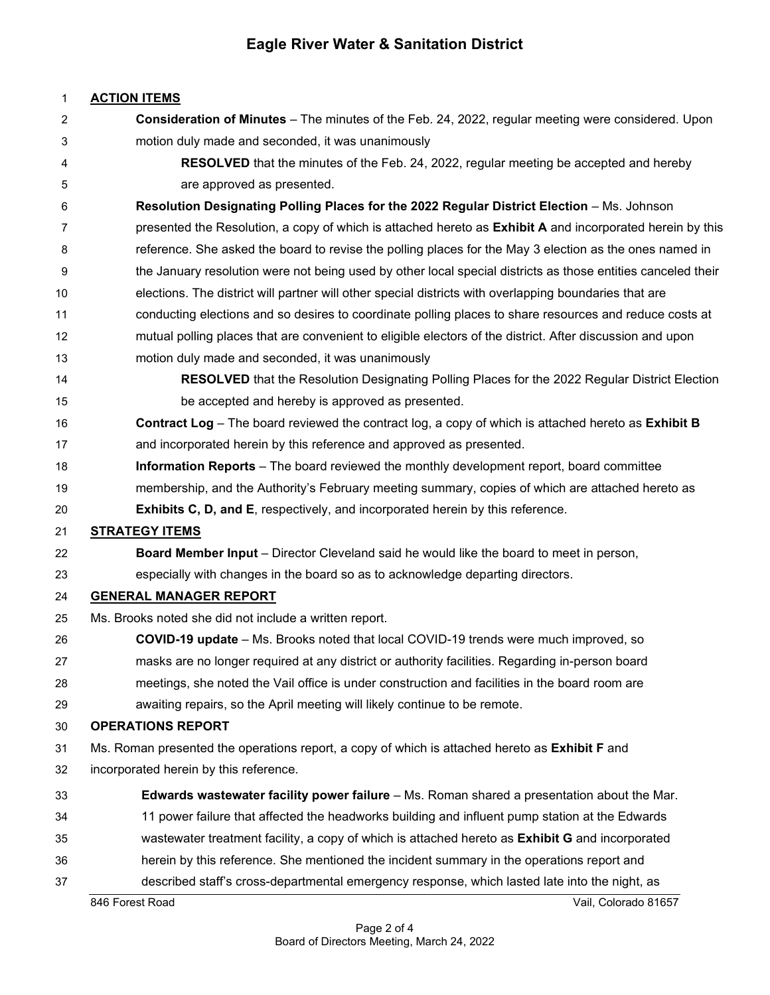# **Eagle River Water & Sanitation District**

### **ACTION ITEMS**

 **Consideration of Minutes** – The minutes of the Feb. 24, 2022, regular meeting were considered. Upon motion duly made and seconded, it was unanimously **RESOLVED** that the minutes of the Feb. 24, 2022, regular meeting be accepted and hereby are approved as presented. **Resolution Designating Polling Places for the 2022 Regular District Election** – Ms. Johnson presented the Resolution, a copy of which is attached hereto as **Exhibit A** and incorporated herein by this 8 reference. She asked the board to revise the polling places for the May 3 election as the ones named in 9 the January resolution were not being used by other local special districts as those entities canceled their elections. The district will partner will other special districts with overlapping boundaries that are conducting elections and so desires to coordinate polling places to share resources and reduce costs at mutual polling places that are convenient to eligible electors of the district. After discussion and upon motion duly made and seconded, it was unanimously **RESOLVED** that the Resolution Designating Polling Places for the 2022 Regular District Election be accepted and hereby is approved as presented. **Contract Log** – The board reviewed the contract log, a copy of which is attached hereto as **Exhibit B** and incorporated herein by this reference and approved as presented. **Information Reports** – The board reviewed the monthly development report, board committee membership, and the Authority's February meeting summary, copies of which are attached hereto as **Exhibits C, D, and E**, respectively, and incorporated herein by this reference. **STRATEGY ITEMS Board Member Input** – Director Cleveland said he would like the board to meet in person, especially with changes in the board so as to acknowledge departing directors. **GENERAL MANAGER REPORT** Ms. Brooks noted she did not include a written report. **COVID-19 update** – Ms. Brooks noted that local COVID-19 trends were much improved, so masks are no longer required at any district or authority facilities. Regarding in-person board meetings, she noted the Vail office is under construction and facilities in the board room are awaiting repairs, so the April meeting will likely continue to be remote. **OPERATIONS REPORT** Ms. Roman presented the operations report, a copy of which is attached hereto as **Exhibit F** and incorporated herein by this reference. **Edwards wastewater facility power failure** – Ms. Roman shared a presentation about the Mar. 11 power failure that affected the headworks building and influent pump station at the Edwards wastewater treatment facility, a copy of which is attached hereto as **Exhibit G** and incorporated herein by this reference. She mentioned the incident summary in the operations report and described staff's cross-departmental emergency response, which lasted late into the night, as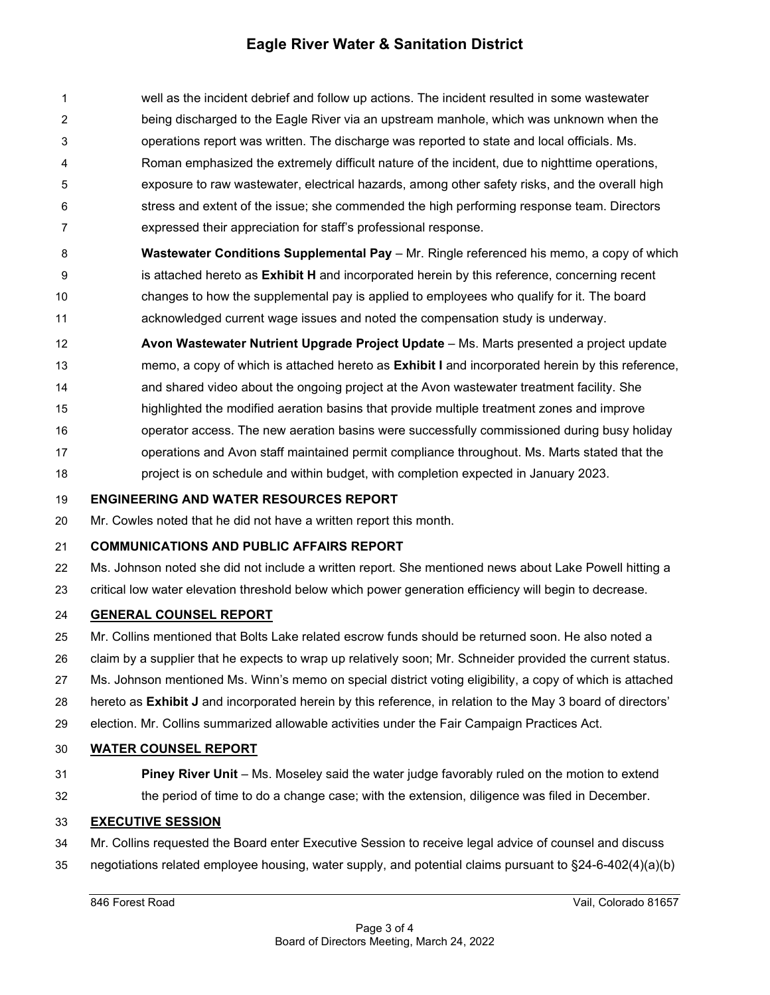# **Eagle River Water & Sanitation District**

 well as the incident debrief and follow up actions. The incident resulted in some wastewater being discharged to the Eagle River via an upstream manhole, which was unknown when the operations report was written. The discharge was reported to state and local officials. Ms. Roman emphasized the extremely difficult nature of the incident, due to nighttime operations, exposure to raw wastewater, electrical hazards, among other safety risks, and the overall high stress and extent of the issue; she commended the high performing response team. Directors expressed their appreciation for staff's professional response.

 **Wastewater Conditions Supplemental Pay** – Mr. Ringle referenced his memo, a copy of which is attached hereto as **Exhibit H** and incorporated herein by this reference, concerning recent changes to how the supplemental pay is applied to employees who qualify for it. The board acknowledged current wage issues and noted the compensation study is underway.

 **Avon Wastewater Nutrient Upgrade Project Update** – Ms. Marts presented a project update memo, a copy of which is attached hereto as **Exhibit I** and incorporated herein by this reference, and shared video about the ongoing project at the Avon wastewater treatment facility. She highlighted the modified aeration basins that provide multiple treatment zones and improve

- operator access. The new aeration basins were successfully commissioned during busy holiday
- 17 operations and Avon staff maintained permit compliance throughout. Ms. Marts stated that the
- project is on schedule and within budget, with completion expected in January 2023.

### **ENGINEERING AND WATER RESOURCES REPORT**

Mr. Cowles noted that he did not have a written report this month.

# **COMMUNICATIONS AND PUBLIC AFFAIRS REPORT**

Ms. Johnson noted she did not include a written report. She mentioned news about Lake Powell hitting a

critical low water elevation threshold below which power generation efficiency will begin to decrease.

# **GENERAL COUNSEL REPORT**

- Mr. Collins mentioned that Bolts Lake related escrow funds should be returned soon. He also noted a
- claim by a supplier that he expects to wrap up relatively soon; Mr. Schneider provided the current status.
- Ms. Johnson mentioned Ms. Winn's memo on special district voting eligibility, a copy of which is attached
- hereto as **Exhibit J** and incorporated herein by this reference, in relation to the May 3 board of directors'
- election. Mr. Collins summarized allowable activities under the Fair Campaign Practices Act.

# **WATER COUNSEL REPORT**

 **Piney River Unit** – Ms. Moseley said the water judge favorably ruled on the motion to extend the period of time to do a change case; with the extension, diligence was filed in December.

# **EXECUTIVE SESSION**

- Mr. Collins requested the Board enter Executive Session to receive legal advice of counsel and discuss
- negotiations related employee housing, water supply, and potential claims pursuant to §24-6-402(4)(a)(b)